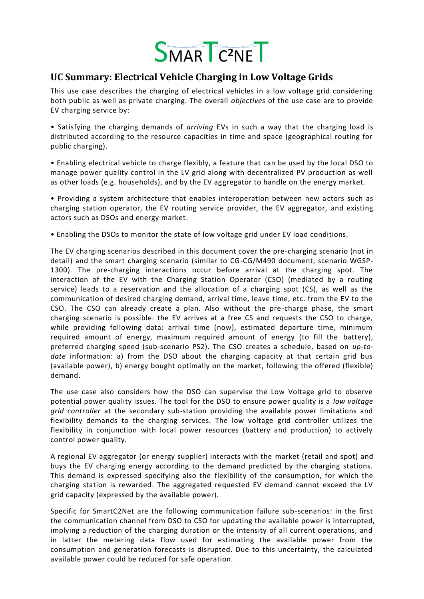

## **UC Summary: Electrical Vehicle Charging in Low Voltage Grids**

This use case describes the charging of electrical vehicles in a low voltage grid considering both public as well as private charging. The overall *objectives* of the use case are to provide EV charging service by:

• Satisfying the charging demands of *arriving* EVs in such a way that the charging load is distributed according to the resource capacities in time and space (geographical routing for public charging).

• Enabling electrical vehicle to charge flexibly, a feature that can be used by the local DSO to manage power quality control in the LV grid along with decentralized PV production as well as other loads (e.g. households), and by the EV aggregator to handle on the energy market.

• Providing a system architecture that enables interoperation between new actors such as charging station operator, the EV routing service provider, the EV aggregator, and existing actors such as DSOs and energy market.

• Enabling the DSOs to monitor the state of low voltage grid under EV load conditions.

The EV charging scenarios described in this document cover the pre-charging scenario (not in detail) and the smart charging scenario (similar to CG-CG/M490 document, scenario WGSP-1300). The pre-charging interactions occur before arrival at the charging spot. The interaction of the EV with the Charging Station Operator (CSO) (mediated by a routing service) leads to a reservation and the allocation of a charging spot (CS), as well as the communication of desired charging demand, arrival time, leave time, etc. from the EV to the CSO. The CSO can already create a plan. Also without the pre-charge phase, the smart charging scenario is possible: the EV arrives at a free CS and requests the CSO to charge, while providing following data: arrival time (now), estimated departure time, minimum required amount of energy, maximum required amount of energy (to fill the battery), preferred charging speed (sub-scenario PS2). The CSO creates a schedule, based on *up-todate* information: a) from the DSO about the charging capacity at that certain grid bus (available power), b) energy bought optimally on the market, following the offered (flexible) demand.

The use case also considers how the DSO can supervise the Low Voltage grid to observe potential power quality issues. The tool for the DSO to ensure power quality is a *low voltage grid controller* at the secondary sub-station providing the available power limitations and flexibility demands to the charging services. The low voltage grid controller utilizes the flexibility in conjunction with local power resources (battery and production) to actively control power quality.

A regional EV aggregator (or energy supplier) interacts with the market (retail and spot) and buys the EV charging energy according to the demand predicted by the charging stations. This demand is expressed specifying also the flexibility of the consumption, for which the charging station is rewarded. The aggregated requested EV demand cannot exceed the LV grid capacity (expressed by the available power).

Specific for SmartC2Net are the following communication failure sub-scenarios: in the first the communication channel from DSO to CSO for updating the available power is interrupted, implying a reduction of the charging duration or the intensity of all current operations, and in latter the metering data flow used for estimating the available power from the consumption and generation forecasts is disrupted. Due to this uncertainty, the calculated available power could be reduced for safe operation.